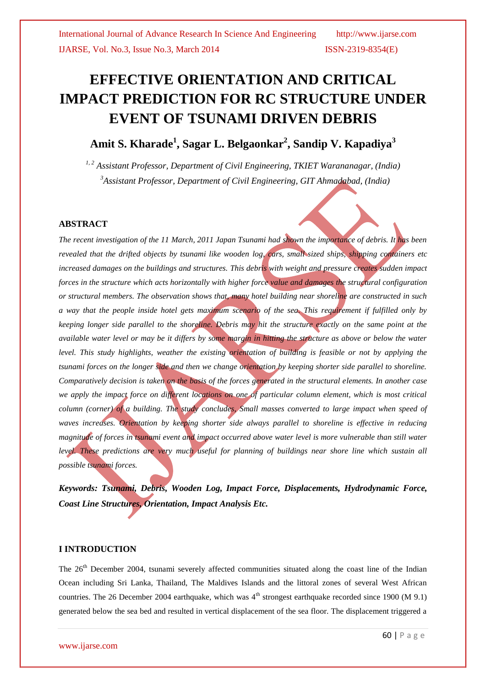# **EFFECTIVE ORIENTATION AND CRITICAL IMPACT PREDICTION FOR RC STRUCTURE UNDER EVENT OF TSUNAMI DRIVEN DEBRIS**

# **Amit S. Kharade<sup>1</sup> , Sagar L. Belgaonkar<sup>2</sup> , Sandip V. Kapadiya<sup>3</sup>**

*1, 2 Assistant Professor, Department of Civil Engineering, TKIET Warananagar, (India) <sup>3</sup>Assistant Professor, Department of Civil Engineering, GIT Ahmadabad, (India)*

#### **ABSTRACT**

*The recent investigation of the 11 March, 2011 Japan Tsunami had shown the importance of debris. It has been revealed that the drifted objects by tsunami like wooden log, cars, small sized ships, shipping containers etc increased damages on the buildings and structures. This debris with weight and pressure creates sudden impact forces in the structure which acts horizontally with higher force value and damages the structural configuration or structural members. The observation shows that, many hotel building near shoreline are constructed in such a way that the people inside hotel gets maximum scenario of the sea. This requirement if fulfilled only by keeping longer side parallel to the shoreline. Debris may hit the structure exactly on the same point at the available water level or may be it differs by some margin in hitting the structure as above or below the water level. This study highlights, weather the existing orientation of building is feasible or not by applying the tsunami forces on the longer side and then we change orientation by keeping shorter side parallel to shoreline. Comparatively decision is taken on the basis of the forces generated in the structural elements. In another case we apply the impact force on different locations on one of particular column element, which is most critical column (corner) of a building. The study concludes, Small masses converted to large impact when speed of waves increases. Orientation by keeping shorter side always parallel to shoreline is effective in reducing magnitude of forces in tsunami event and impact occurred above water level is more vulnerable than still water level. These predictions are very much useful for planning of buildings near shore line which sustain all possible tsunami forces.*

*Keywords: Tsunami, Debris, Wooden Log, Impact Force, Displacements, Hydrodynamic Force, Coast Line Structures, Orientation, Impact Analysis Etc.*

#### **I INTRODUCTION**

The 26<sup>th</sup> December 2004, tsunami severely affected communities situated along the coast line of the Indian Ocean including Sri Lanka, Thailand, The Maldives Islands and the littoral zones of several West African countries. The 26 December 2004 earthquake, which was  $4<sup>th</sup>$  strongest earthquake recorded since 1900 (M 9.1) generated below the sea bed and resulted in vertical displacement of the sea floor. The displacement triggered a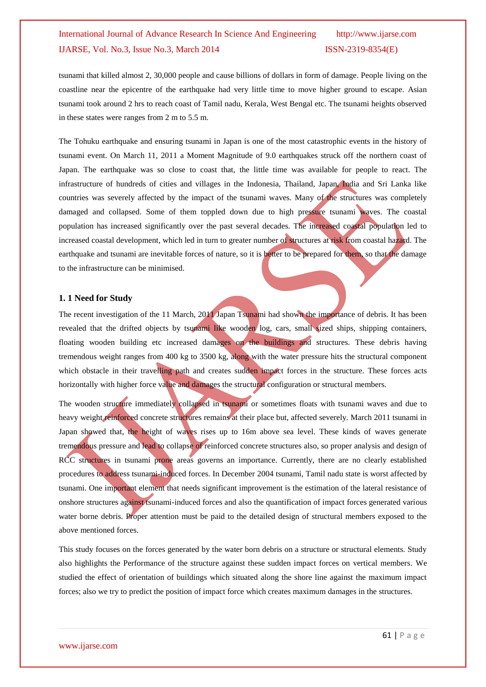tsunami that killed almost 2, 30,000 people and cause billions of dollars in form of damage. People living on the coastline near the epicentre of the earthquake had very little time to move higher ground to escape. Asian tsunami took around 2 hrs to reach coast of Tamil nadu, Kerala, West Bengal etc. The tsunami heights observed in these states were ranges from 2 m to 5.5 m.

The Tohuku earthquake and ensuring tsunami in Japan is one of the most catastrophic events in the history of tsunami event. On March 11, 2011 a Moment Magnitude of 9.0 earthquakes struck off the northern coast of Japan. The earthquake was so close to coast that, the little time was available for people to react. The infrastructure of hundreds of cities and villages in the Indonesia, Thailand, Japan, India and Sri Lanka like countries was severely affected by the impact of the tsunami waves. Many of the structures was completely damaged and collapsed. Some of them toppled down due to high pressure tsunami waves. The coastal population has increased significantly over the past several decades. The increased coastal population led to increased coastal development, which led in turn to greater number of structures at risk from coastal hazard. The earthquake and tsunami are inevitable forces of nature, so it is better to be prepared for them, so that the damage to the infrastructure can be minimised.

#### **1. 1 Need for Study**

The recent investigation of the 11 March, 2011 Japan Tsunami had shown the importance of debris. It has been revealed that the drifted objects by tsunami like wooden log, cars, small sized ships, shipping containers, floating wooden building etc increased damages on the buildings and structures. These debris having tremendous weight ranges from 400 kg to 3500 kg, along with the water pressure hits the structural component which obstacle in their travelling path and creates sudden impact forces in the structure. These forces acts horizontally with higher force value and damages the structural configuration or structural members.

The wooden structure immediately collapsed in tsunami or sometimes floats with tsunami waves and due to heavy weight reinforced concrete structures remains at their place but, affected severely. March 2011 tsunami in Japan showed that, the height of waves rises up to 16m above sea level. These kinds of waves generate tremendous pressure and lead to collapse of reinforced concrete structures also, so proper analysis and design of RCC structures in tsunami prone areas governs an importance. Currently, there are no clearly established procedures to address tsunami-induced forces. In December 2004 tsunami, Tamil nadu state is worst affected by tsunami. One important element that needs significant improvement is the estimation of the lateral resistance of onshore structures against tsunami-induced forces and also the quantification of impact forces generated various water borne debris. Proper attention must be paid to the detailed design of structural members exposed to the above mentioned forces.

This study focuses on the forces generated by the water born debris on a structure or structural elements. Study also highlights the Performance of the structure against these sudden impact forces on vertical members. We studied the effect of orientation of buildings which situated along the shore line against the maximum impact forces; also we try to predict the position of impact force which creates maximum damages in the structures.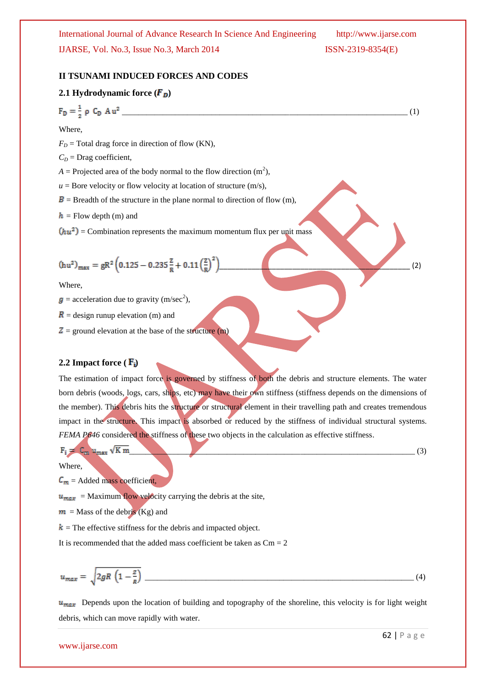\_\_\_\_\_\_\_\_\_\_\_\_\_\_\_\_\_\_\_\_\_\_\_\_\_\_\_\_\_\_\_\_\_\_\_\_\_\_\_\_\_\_\_\_\_\_\_\_\_\_\_\_\_\_\_\_\_\_\_\_\_\_\_\_\_\_\_\_\_\_ (1)

#### **II TSUNAMI INDUCED FORCES AND CODES**

#### **2.1 Hydrodynamic force**  $(F_D)$

$$
F_D = \frac{1}{2} \rho C_D A
$$

Where,

 $F<sub>D</sub>$  = Total drag force in direction of flow (KN),

 $C<sub>D</sub>$  = Drag coefficient,

 $A =$  Projected area of the body normal to the flow direction  $(m<sup>2</sup>)$ ,

 $u =$ Bore velocity or flow velocity at location of structure  $(m/s)$ ,

 $\mathbf{B}$  = Breadth of the structure in the plane normal to direction of flow (m),

 $h =$  Flow depth (m) and

 $(hu^2)$  = Combination represents the maximum momentum flux per unit mass

$$
(hu^2)_{max} = gR^2 \left( 0.125 - 0.235 \frac{z}{R} + 0.11 \left( \frac{z}{R} \right)^2 \right)
$$
 (2)

Where,

 $=$  acceleration due to gravity (m/sec<sup>2</sup>),

 $\mathbf{R}$  = design runup elevation (m) and

 $Z =$  ground elevation at the base of the structure (m)

#### **2.2 Impact force (** $\mathbf{F_i}$ **)**

The estimation of impact force is governed by stiffness of both the debris and structure elements. The water born debris (woods, logs, cars, ships, etc) may have their own stiffness (stiffness depends on the dimensions of the member). This debris hits the structure or structural element in their travelling path and creates tremendous impact in the structure. This impact is absorbed or reduced by the stiffness of individual structural systems. *FEMA P646* considered the stiffness of these two objects in the calculation as effective stiffness.

$$
F_i = C_m u_{max} \sqrt{K} m
$$
 (3)

Where,

 $C_m$  = Added mass coefficient,

 $u_{max}$  = Maximum flow velocity carrying the debris at the site,

 $m =$  Mass of the debris (Kg) and

 $k =$ The effective stiffness for the debris and impacted object.

It is recommended that the added mass coefficient be taken as  $Cm = 2$ 

$$
u_{max} = \sqrt{2gR\left(1 - \frac{z}{R}\right)}
$$
 (4)

 $u_{max}$  Depends upon the location of building and topography of the shoreline, this velocity is for light weight debris, which can move rapidly with water.

www.ijarse.com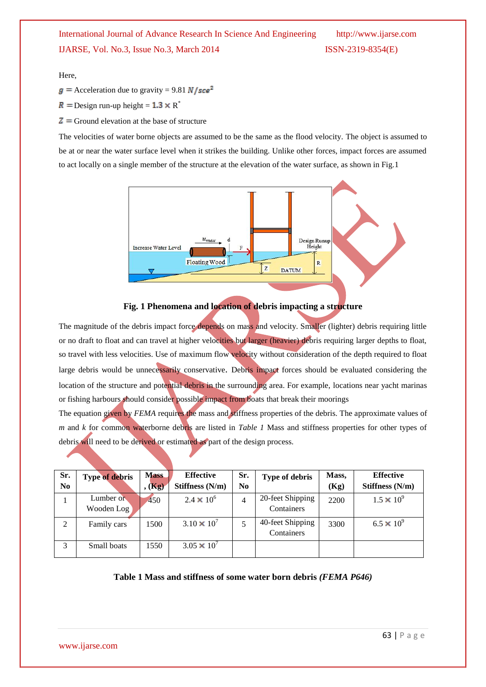Here,

- $g =$  Acceleration due to gravity = 9.81 N/sce<sup>2</sup>
- Design run-up height =  $1.3 \times R^*$
- $\mathbf{Z}$  = Ground elevation at the base of structure

The velocities of water borne objects are assumed to be the same as the flood velocity. The object is assumed to be at or near the water surface level when it strikes the building. Unlike other forces, impact forces are assumed to act locally on a single member of the structure at the elevation of the water surface, as shown in Fig.1





The magnitude of the debris impact force depends on mass and velocity. Smaller (lighter) debris requiring little or no draft to float and can travel at higher velocities but larger (heavier) debris requiring larger depths to float, so travel with less velocities. Use of maximum flow velocity without consideration of the depth required to float large debris would be unnecessarily conservative. Debris impact forces should be evaluated considering the location of the structure and potential debris in the surrounding area. For example, locations near yacht marinas or fishing harbours should consider possible impact from boats that break their moorings

The equation given by *FEMA* requires the mass and stiffness properties of the debris. The approximate values of *m* and *k* for common waterborne debris are listed in *Table 1* Mass and stiffness properties for other types of debris will need to be derived or estimated as part of the design process.

| Sr. | <b>Type of debris</b> | <b>Mass</b> | <b>Effective</b>     | Sr. | Type of debris   | Mass, | <b>Effective</b>    |
|-----|-----------------------|-------------|----------------------|-----|------------------|-------|---------------------|
| No  |                       | $,$ $(Kg)$  | Stiffness (N/m)      | No. |                  | (Kg)  | Stiffness (N/m)     |
|     | Lumber or             | 450         | $2.4 \times 10^{6}$  | 4   | 20-feet Shipping | 2200  | $1.5 \times 10^{9}$ |
|     | Wooden Log            |             |                      |     | Containers       |       |                     |
| 2   | Family cars           | 1500        | $3.10 \times 10^{7}$ |     | 40-feet Shipping | 3300  | $6.5 \times 10^{9}$ |
|     |                       |             |                      |     | Containers       |       |                     |
| 3   | Small boats           | 1550        | $3.05 \times 10^{7}$ |     |                  |       |                     |
|     |                       |             |                      |     |                  |       |                     |

# **Table 1 Mass and stiffness of some water born debris** *(FEMA P646)*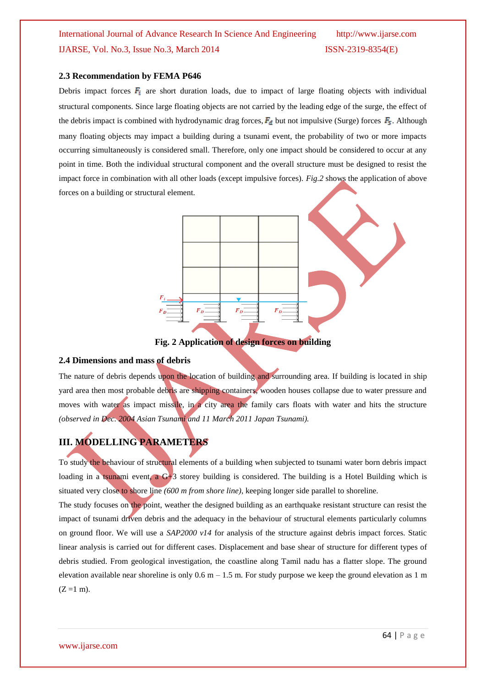#### **2.3 Recommendation by FEMA P646**

Debris impact forces  $\mathbf{F}_i$  are short duration loads, due to impact of large floating objects with individual structural components. Since large floating objects are not carried by the leading edge of the surge, the effect of the debris impact is combined with hydrodynamic drag forces,  $F_d$  but not impulsive (Surge) forces  $F_s$ . Although many floating objects may impact a building during a tsunami event, the probability of two or more impacts occurring simultaneously is considered small. Therefore, only one impact should be considered to occur at any point in time. Both the individual structural component and the overall structure must be designed to resist the impact force in combination with all other loads (except impulsive forces). *Fig.2* shows the application of above forces on a building or structural element.



**Fig. 2 Application of design forces on building**

#### **2.4 Dimensions and mass of debris**

The nature of debris depends upon the location of building and surrounding area. If building is located in ship yard area then most probable debris are shipping containers, wooden houses collapse due to water pressure and moves with water as impact missile, in a city area the family cars floats with water and hits the structure *(observed in Dec. 2004 Asian Tsunami and 11 March 2011 Japan Tsunami).*

# **III. MODELLING PARAMETERS**

To study the behaviour of structural elements of a building when subjected to tsunami water born debris impact loading in a tsunami event, a  $G+3$  storey building is considered. The building is a Hotel Building which is situated very close to shore line *(600 m from shore line)*, keeping longer side parallel to shoreline.

The study focuses on the point, weather the designed building as an earthquake resistant structure can resist the impact of tsunami driven debris and the adequacy in the behaviour of structural elements particularly columns on ground floor. We will use a *SAP2000 v14* for analysis of the structure against debris impact forces. Static linear analysis is carried out for different cases. Displacement and base shear of structure for different types of debris studied. From geological investigation, the coastline along Tamil nadu has a flatter slope. The ground elevation available near shoreline is only  $0.6$  m  $- 1.5$  m. For study purpose we keep the ground elevation as 1 m  $(Z = 1 m)$ .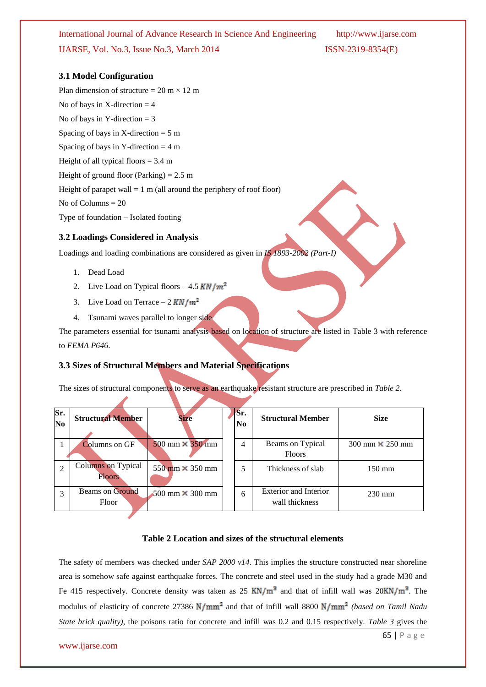#### **3.1 Model Configuration**

Plan dimension of structure =  $20 \text{ m} \times 12 \text{ m}$ No of bays in  $X$ -direction  $=$  4 No of bays in Y-direction  $=$  3 Spacing of bays in X-direction  $= 5$  m Spacing of bays in Y-direction  $= 4 \text{ m}$ Height of all typical floors  $= 3.4$  m Height of ground floor (Parking)  $= 2.5$  m Height of parapet wall  $= 1$  m (all around the periphery of roof floor) No of Columns = 20 Type of foundation – Isolated footing

#### **3.2 Loadings Considered in Analysis**

Loadings and loading combinations are considered as given in *IS 1893-2002 (Part-I)*

- 1. Dead Load
- 2. Live Load on Typical floors  $-4.5$  KN/ $m^2$
- 3. Live Load on Terrace  $-2$  KN/ $m^2$
- 4. Tsunami waves parallel to longer side

The parameters essential for tsunami analysis based on location of structure are listed in Table 3 with reference to *FEMA P646*.

#### **3.3 Sizes of Structural Members and Material Specifications**

The sizes of structural components to serve as an earthquake resistant structure are prescribed in *Table 2*.

| Sr.<br>N <sub>0</sub> | <b>Structural Member</b>                   | <b>Size</b>                            | Sr.<br>N <sub>0</sub> | <b>Structural Member</b>                       | <b>Size</b>                            |
|-----------------------|--------------------------------------------|----------------------------------------|-----------------------|------------------------------------------------|----------------------------------------|
|                       | <b>Columns</b> on GF                       | $500$ mm $\times$ 350 mm               | 4                     | Beams on Typical<br><b>Floors</b>              | $300 \text{ mm} \times 250 \text{ mm}$ |
|                       | <b>Columns</b> on Typical<br><b>Floors</b> | $550 \text{ mm} \times 350 \text{ mm}$ | 5                     | Thickness of slab                              | $150 \text{ mm}$                       |
| 3                     | Beams on Ground<br>Floor                   | 500 mm $\times$ 300 mm                 | 6                     | <b>Exterior and Interior</b><br>wall thickness | $230 \text{ mm}$                       |

#### **Table 2 Location and sizes of the structural elements**

The safety of members was checked under *SAP 2000 v14*. This implies the structure constructed near shoreline area is somehow safe against earthquake forces. The concrete and steel used in the study had a grade M30 and Fe 415 respectively. Concrete density was taken as 25  $KN/m^3$  and that of infill wall was  $20KN/m^3$ . The modulus of elasticity of concrete 27386  $N/mm^2$  and that of infill wall 8800  $N/mm^2$  (based on Tamil Nadu *State brick quality)*, the poisons ratio for concrete and infill was 0.2 and 0.15 respectively. *Table 3* gives the

#### www.ijarse.com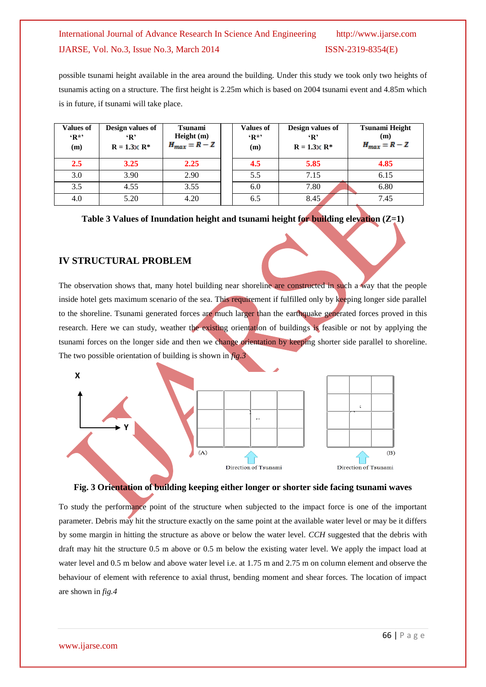possible tsunami height available in the area around the building. Under this study we took only two heights of tsunamis acting on a structure. The first height is 2.25m which is based on 2004 tsunami event and 4.85m which is in future, if tsunami will take place.

| <b>Values of</b><br>$R^*$<br>(m) | Design values of<br>$\mathbf{R}$<br>$R = 1.3 \times R^*$ | <b>Tsunami</b><br>Height(m)<br>$H_{max} = R - Z$ | <b>Values of</b><br>$\mathbf{R}^*$<br>(m) | Design values of<br>$\mathbf{R}$<br>$R = 1.3 \times R^*$ | <b>Tsunami Height</b><br>(m)<br>$H_{max} = R - Z$ |
|----------------------------------|----------------------------------------------------------|--------------------------------------------------|-------------------------------------------|----------------------------------------------------------|---------------------------------------------------|
| 2.5                              | 3.25                                                     | 2.25                                             | 4.5                                       | 5.85                                                     | 4.85                                              |
| 3.0                              | 3.90                                                     | 2.90                                             | 5.5                                       | 7.15                                                     | 6.15                                              |
| 3.5                              | 4.55                                                     | 3.55                                             | 6.0                                       | 7.80                                                     | 6.80                                              |
| 4.0                              | 5.20                                                     | 4.20                                             | 6.5                                       | 8.45                                                     | 7.45                                              |

**Table 3 Values of Inundation height and tsunami height for building elevation (Z=1)**

#### **IV STRUCTURAL PROBLEM**

The observation shows that, many hotel building near shoreline are constructed in such a way that the people inside hotel gets maximum scenario of the sea. This requirement if fulfilled only by keeping longer side parallel to the shoreline. Tsunami generated forces are much larger than the earthquake generated forces proved in this research. Here we can study, weather the existing orientation of buildings is feasible or not by applying the tsunami forces on the longer side and then we change orientation by keeping shorter side parallel to shoreline. The two possible orientation of building is shown in *fig.3*



#### **Fig. 3 Orientation of building keeping either longer or shorter side facing tsunami waves**

To study the performance point of the structure when subjected to the impact force is one of the important parameter. Debris may hit the structure exactly on the same point at the available water level or may be it differs by some margin in hitting the structure as above or below the water level. *CCH* suggested that the debris with draft may hit the structure 0.5 m above or 0.5 m below the existing water level. We apply the impact load at water level and 0.5 m below and above water level i.e. at 1.75 m and 2.75 m on column element and observe the behaviour of element with reference to axial thrust, bending moment and shear forces. The location of impact are shown in *fig.4*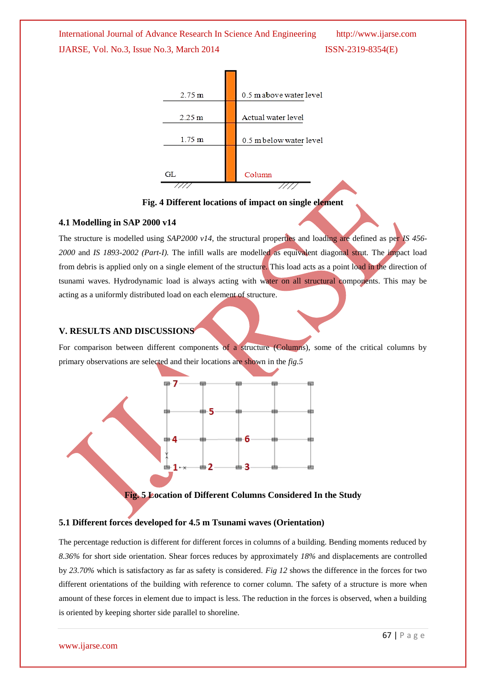

**Fig. 4 Different locations of impact on single element**

#### **4.1 Modelling in SAP 2000 v14**

The structure is modelled using *SAP2000 v14*, the structural properties and loading are defined as per *IS 456- 2000* and *IS 1893-2002 (Part-I).* The infill walls are modelled as equivalent diagonal strut. The impact load from debris is applied only on a single element of the structure. This load acts as a point load in the direction of tsunami waves. Hydrodynamic load is always acting with water on all structural components. This may be acting as a uniformly distributed load on each element of structure.

#### **V. RESULTS AND DISCUSSIONS**

For comparison between different components of a structure (Columns), some of the critical columns by primary observations are selected and their locations are shown in the *fig.5*



**Fig. 5 Location of Different Columns Considered In the Study**

#### **5.1 Different forces developed for 4.5 m Tsunami waves (Orientation)**

The percentage reduction is different for different forces in columns of a building. Bending moments reduced by *8.36%* for short side orientation. Shear forces reduces by approximately *18%* and displacements are controlled by *23.70%* which is satisfactory as far as safety is considered. *Fig 12* shows the difference in the forces for two different orientations of the building with reference to corner column. The safety of a structure is more when amount of these forces in element due to impact is less. The reduction in the forces is observed, when a building is oriented by keeping shorter side parallel to shoreline.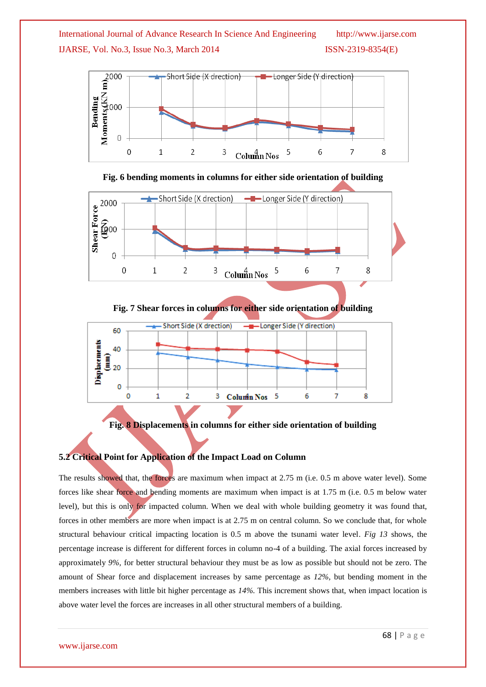







**Fig. 7 Shear forces in columns for either side orientation of building**



**Fig. 8 Displacements in columns for either side orientation of building**

#### **5.2 Critical Point for Application of the Impact Load on Column**

The results showed that, the forces are maximum when impact at 2.75 m (i.e. 0.5 m above water level). Some forces like shear force and bending moments are maximum when impact is at 1.75 m (i.e. 0.5 m below water level), but this is only for impacted column. When we deal with whole building geometry it was found that, forces in other members are more when impact is at 2.75 m on central column. So we conclude that, for whole structural behaviour critical impacting location is 0.5 m above the tsunami water level. *Fig 13* shows, the percentage increase is different for different forces in column no-4 of a building. The axial forces increased by approximately *9%,* for better structural behaviour they must be as low as possible but should not be zero. The amount of Shear force and displacement increases by same percentage as *12%,* but bending moment in the members increases with little bit higher percentage as *14%.* This increment shows that, when impact location is above water level the forces are increases in all other structural members of a building.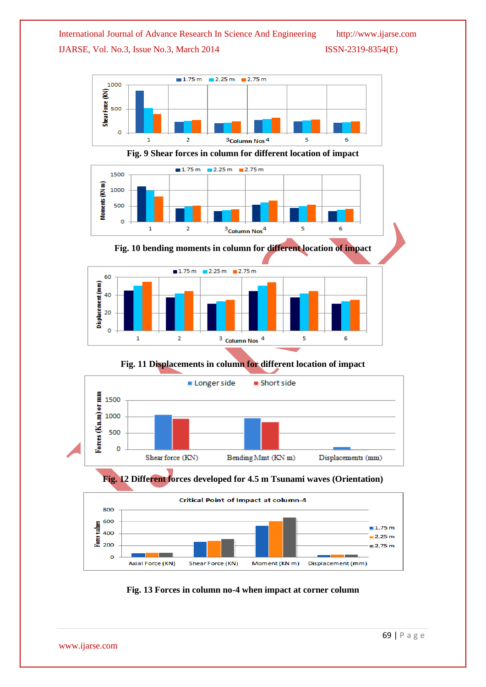

**Fig. 9 Shear forces in column for different location of impact**



**Fig. 10 bending moments in column for different location of impact**



**Fig. 11 Displacements in column for different location of impact**







**Fig. 13 Forces in column no-4 when impact at corner column**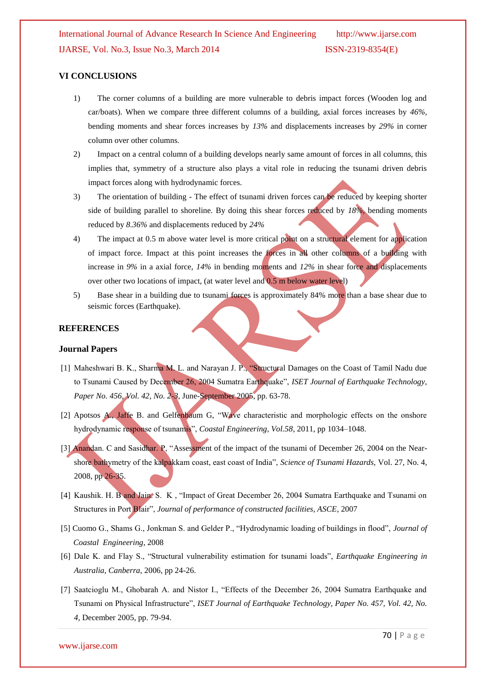#### **VI CONCLUSIONS**

- 1) The corner columns of a building are more vulnerable to debris impact forces (Wooden log and car/boats). When we compare three different columns of a building, axial forces increases by *46%,* bending moments and shear forces increases by *13%* and displacements increases by *29%* in corner column over other columns.
- 2) Impact on a central column of a building develops nearly same amount of forces in all columns, this implies that, symmetry of a structure also plays a vital role in reducing the tsunami driven debris impact forces along with hydrodynamic forces.
- 3) The orientation of building The effect of tsunami driven forces can be reduced by keeping shorter side of building parallel to shoreline. By doing this shear forces reduced by *18%,* bending moments reduced by *8.36%* and displacements reduced by *24%*
- 4) The impact at 0.5 m above water level is more critical point on a structural element for application of impact force. Impact at this point increases the forces in all other columns of a building with increase in *9%* in a axial force, *14%* in bending moments and *12%* in shear force and displacements over other two locations of impact, (at water level and 0.5 m below water level)
- 5) Base shear in a building due to tsunami forces is approximately 84% more than a base shear due to seismic forces (Earthquake).

#### **REFERENCES**

#### **Journal Papers**

- [1] Maheshwari B. K., Sharma M. L. and Narayan J. P., "Structural Damages on the Coast of Tamil Nadu due to Tsunami Caused by December 26, 2004 Sumatra Earthquake", *ISET Journal of Earthquake Technology, Paper No. 456, Vol. 42, No. 2-3*, June-September 2005, pp. 63-78.
- [2] Apotsos A., Jaffe B. and Gelfenbaum G, "Wave characteristic and morphologic effects on the onshore hydrodynamic response of tsunamis", *Coastal Engineering, Vol.58*, 2011, pp 1034–1048.
- [3] Anandan. C and Sasidhar. P, "Assessment of the impact of the tsunami of December 26, 2004 on the Nearshore bathymetry of the kalpakkam coast, east coast of India", *Science of Tsunami Hazards,* Vol. 27, No. 4, 2008, pp 26-35.
- [4] Kaushik. H. B and Jain. S. K , "Impact of Great December 26, 2004 Sumatra Earthquake and Tsunami on Structures in Port Blair", *Journal of performance of constructed facilities, ASCE*, 2007
- [5] Cuomo G., Shams G., Jonkman S. and Gelder P., "Hydrodynamic loading of buildings in flood", *Journal of Coastal Engineering*, 2008
- [6] Dale K. and Flay S., "Structural vulnerability estimation for tsunami loads", *Earthquake Engineering in Australia, Canberra*, 2006, pp 24-26.
- [7] Saatcioglu M., Ghobarah A. and Nistor I., "Effects of the December 26, 2004 Sumatra Earthquake and Tsunami on Physical Infrastructure", *ISET Journal of Earthquake Technology, Paper No. 457, Vol. 42, No. 4*, December 2005, pp. 79-94.